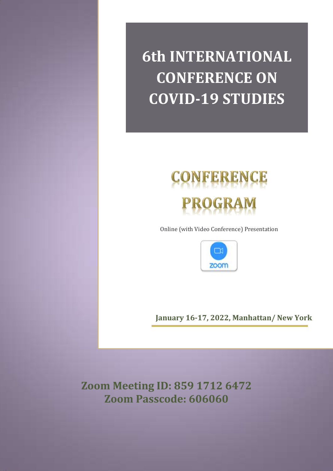**6th INTERNATIONAL CONFERENCE ON COVID-19 STUDIES**



Online (with Video Conference) Presentation



**January 16-17, 2022, Manhattan/ New York**

**Zoom Meeting ID: 859 1712 6472 Zoom Passcode: 606060**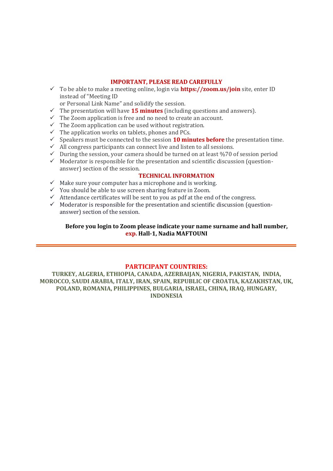#### **IMPORTANT, PLEASE READ CAREFULLY**

 To be able to make a meeting online, login via **https://zoom.us/join** site, enter ID instead of "Meeting ID

or Personal Link Name" and solidify the session.

- $\checkmark$  The presentation will have **15 minutes** (including questions and answers).
- $\checkmark$  The Zoom application is free and no need to create an account.
- $\checkmark$  The Zoom application can be used without registration.
- $\checkmark$  The application works on tablets, phones and PCs.
- $\checkmark$  Speakers must be connected to the session **10 minutes before** the presentation time.
- $\overrightarrow{A}$  All congress participants can connect live and listen to all sessions.
- $\checkmark$  During the session, your camera should be turned on at least %70 of session period
- $\checkmark$  Moderator is responsible for the presentation and scientific discussion (questionanswer) section of the session.

#### **TECHNICAL INFORMATION**

- $\checkmark$  Make sure your computer has a microphone and is working.
- You should be able to use screen sharing feature in Zoom.
- $\checkmark$  Attendance certificates will be sent to you as pdf at the end of the congress.
- $\checkmark$  Moderator is responsible for the presentation and scientific discussion (questionanswer) section of the session.

#### **Before you login to Zoom please indicate your name surname and hall number, exp. Hall-1, Nadia MAFTOUNI**

#### **PARTICIPANT COUNTRIES:**

**TURKEY, ALGERIA, ETHIOPIA, CANADA, AZERBAIJAN, NIGERIA, PAKISTAN, INDIA, MOROCCO, SAUDI ARABIA, ITALY, IRAN, SPAIN, REPUBLIC OF CROATIA, KAZAKHSTAN, UK, POLAND, ROMANIA, PHILIPPINES, BULGARIA, ISRAEL, CHINA, IRAQ, HUNGARY, INDONESIA**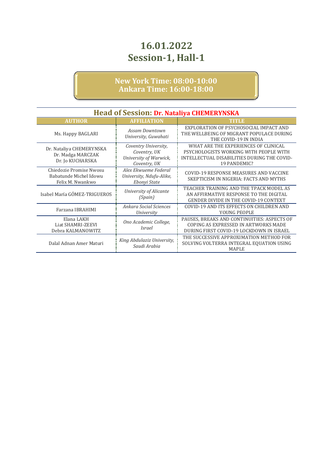| <b>Head of Session: Dr. Nataliya CHEMERYNSKA</b>                      |                                                                                |                                                                                                                                               |
|-----------------------------------------------------------------------|--------------------------------------------------------------------------------|-----------------------------------------------------------------------------------------------------------------------------------------------|
| <b>AUTHOR</b>                                                         | <b>AFFILIATION</b>                                                             | <b>TITLE</b>                                                                                                                                  |
| Ms. Happy BAGLARI                                                     | <b>Assam Downtown</b><br>University, Guwahati                                  | EXPLORATION OF PSYCHOSOCIAL IMPACT AND<br>THE WELLBEING OF MIGRANT POPULACE DURING<br>THE COVID-19 IN INDIA                                   |
| Dr. Nataliya CHEMERYNSKA<br>Dr. Madga MARCZAK<br>Dr. Jo KUCHARSKA     | Coventry University,<br>Coventry, UK<br>University of Warwick,<br>Coventry, UK | WHAT ARE THE EXPERIENCES OF CLINICAL<br>PSYCHOLOGISTS WORKING WITH PEOPLE WITH<br>INTELLECTUAL DISABILITIES DURING THE COVID-<br>19 PANDEMIC? |
| Chiedozie Promise Nwosu<br>Babatunde Michel Idowu<br>Felix M. Nwankwo | Alex Ekwueme Federal<br>University, Ndufu-Alike,<br>Ebonyi State               | COVID-19 RESPONSE MEASURES AND VACCINE<br>SKEPTICISM IN NIGERIA: FACTS AND MYTHS                                                              |
| Isabel María GÓMEZ-TRIGUEROS                                          | University of Alicante<br><i>(Spain)</i>                                       | TEACHER TRAINING AND THE TPACK MODEL AS<br>AN AFFIRMATIVE RESPONSE TO THE DIGITAL<br><b>GENDER DIVIDE IN THE COVID-19 CONTEXT</b>             |
| Farzana IBRAHIMI                                                      | Ankara Social Sciences<br><i>University</i>                                    | COVID-19 AND ITS EFFECTS ON CHILDREN AND<br>YOUNG PEOPLE                                                                                      |
| Elana LAKH<br>Liat SHAMRI-ZEEVI<br>Debra KALMANOWITZ                  | Ono Academic College,<br>Israel                                                | PAUSES, BREAKS AND CONTINUITIES: ASPECTS OF<br>COPING AS EXPRESSED IN ARTWORKS MADE<br>DURING FIRST COVID-19 LOCKDOWN IN ISRAEL               |
| Dalal Adnan Amer Maturi                                               | King Abdulaziz University,<br>Saudi Arabia                                     | THE SUCCESSIVE APPROXIMATION METHOD FOR<br>SOLVING VOLTERRA INTEGRAL EQUATION USING<br><b>MAPLE</b>                                           |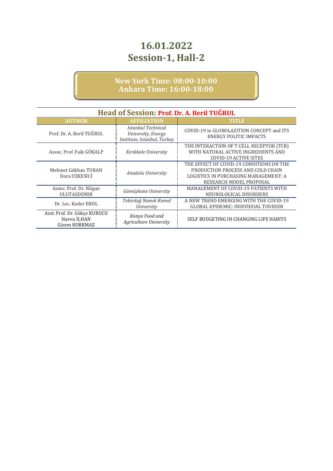| <b>Head of Session: Prof. Dr. A. Beril TUGRUL</b>            |                                                                         |                                                                                                                                                   |
|--------------------------------------------------------------|-------------------------------------------------------------------------|---------------------------------------------------------------------------------------------------------------------------------------------------|
| <b>AUTHOR</b>                                                | <b>AFFILIATION</b>                                                      | TITLE                                                                                                                                             |
| Prof. Dr. A. Beril TUĞRUL                                    | Istanbul Technical<br>University, Energy<br>Institute, Istanbul, Turkey | COVID-19 in GLOBOLAZITION CONCEPT and ITS<br>ENERGY POLITIC IMPACTS                                                                               |
| Assoc. Prof. Faik GÖKALP                                     | Kırıkkale University                                                    | THE INTERACTION OF T CELL RECEPTOR (TCR)<br>WITH NATURAL ACTIVE INGREDIENTS AND<br><b>COVID-19 ACTIVE SITES</b>                                   |
| Mehmet Gökhan TURAN<br>Dora UZKESİÇİ                         | Anadolu University                                                      | THE EFFECT OF COVID-19 CONDITIONS ON THE<br>PRODUCTION PROCESS AND COLD CHAIN<br>LOGISTICS IN PURCHASING MANAGEMENT: A<br>RESEARCH MODEL PROPOSAL |
| Assoc. Prof. Dr. Nilgun<br><b>ULUTASDEMIR</b>                | Gümüşhane University                                                    | <b>MANAGEMENT OF COVID-19 PATIENTS WITH</b><br>NEUROLOGICAL DISORDERS                                                                             |
| Dr. Lec. Kader EROL                                          | Tekirdağ Namık Kemal<br>University                                      | A NEW TREND EMERGING WITH THE COVID-19<br><b>GLOBAL EPIDEMIC: INDIVIDUAL TOURISM</b>                                                              |
| Asst. Prof. Dr. Gökçe KURUCU<br>Havva İLHAN<br>Gizem KORKMAZ | Konya Food and<br>Agriculture University                                | SELF BUDGETING IN CHANGING LIFE HABITS                                                                                                            |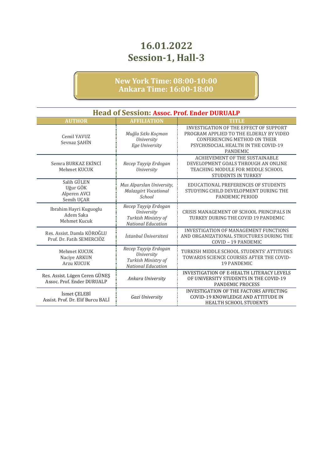| <b>Head of Session: Assoc. Prof. Ender DURUALP</b>           |                                                                                        |                                                                                                                                                                                    |
|--------------------------------------------------------------|----------------------------------------------------------------------------------------|------------------------------------------------------------------------------------------------------------------------------------------------------------------------------------|
| <b>AUTHOR</b>                                                | <b>AFFILIATION</b>                                                                     | TITLE                                                                                                                                                                              |
| Cemil YAVUZ<br>Sevnaz ŞAHİN                                  | Muğla Sıtkı Koçman<br>University<br>Ege University                                     | <b>INVESTIGATION OF THE EFFECT OF SUPPORT</b><br>PROGRAM APPLIED TO THE ELDERLY BY VIDEO<br>CONFERENCING METHOD ON THEIR<br>PSYCHOSOCIAL HEALTH IN THE COVID-19<br><b>PANDEMIC</b> |
| Semra BURKAZ EKİNCİ<br>Mehmet KUCUK                          | Recep Tayyip Erdogan<br>University                                                     | <b>ACHIEVEMENT OF THE SUSTAINABLE</b><br>DEVELOPMENT GOALS THROUGH AN ONLINE<br>TEACHING MODULE FOR MIDDLE SCHOOL<br><b>STUDENTS IN TURKEY</b>                                     |
| Salih GÜLEN<br>Uğur GÖK<br>Alperen AVCI<br>Semih UÇAR        | Mus Alparslan University,<br><b>Malazgirt Vocational</b><br>School                     | EDUCATIONAL PREFERENCES OF STUDENTS<br>STUDYING CHILD DEVELOPMENT DURING THE<br>PANDEMIC PERIOD                                                                                    |
| Ibrahim Hayri Kuguoglu<br>Adem Saka<br>Mehmet Kucuk          | Recep Tayyip Erdogan<br>University<br>Turkish Ministry of<br><b>National Education</b> | CRISIS MANAGEMENT OF SCHOOL PRINCIPALS IN<br>TURKEY DURING THE COVID 19 PANDEMIC                                                                                                   |
| Res. Assist. Damla KÖROĞLU<br>Prof. Dr. Fatih SEMERCIÖZ      | İstanbul Üniversitesi                                                                  | <b>INVESTIGATION OF MANAGEMENT FUNCTIONS</b><br>AND ORGANIZATIONAL STRUCTURES DURING THE<br>COVID - 19 PANDEMIC                                                                    |
| Mehmet KUCUK<br>Nacive ARKUN<br><b>Arzu KUCUK</b>            | Recep Tayyip Erdogan<br>University<br>Turkish Ministry of<br><b>National Education</b> | TURKISH MIDDLE SCHOOL STUDENTS' ATTITUDES<br>TOWARDS SCIENCE COURSES AFTER THE COVID-<br><b>19 PANDEMIC</b>                                                                        |
| Res. Assist. Lügen Ceren GÜNEŞ<br>Assoc. Prof. Ender DURUALP | Ankara University                                                                      | <b>INVESTIGATION OF E-HEALTH LITERACY LEVELS</b><br>OF UNIVERSITY STUDENTS IN THE COVID-19<br><b>PANDEMIC PROCESS</b>                                                              |
| İsmet ÇELEBİ<br>Assist, Prof. Dr. Elif Burcu BALI            | Gazi University                                                                        | INVESTIGATION OF THE FACTORS AFFECTING<br>COVID-19 KNOWLEDGE AND ATTITUDE IN<br>HEALTH SCHOOL STUDENTS                                                                             |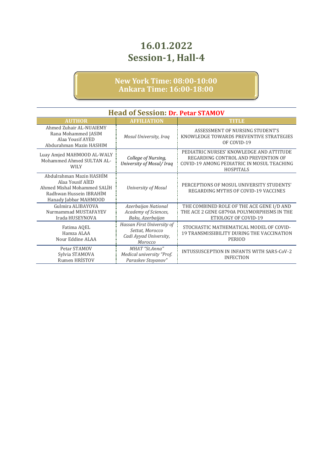| <b>Head of Session: Dr. Petar STAMOV</b>                                                                                        |                                                                                    |                                                                                                                                                   |
|---------------------------------------------------------------------------------------------------------------------------------|------------------------------------------------------------------------------------|---------------------------------------------------------------------------------------------------------------------------------------------------|
| <b>AUTHOR</b>                                                                                                                   | <b>AFFILIATION</b>                                                                 | TITLE                                                                                                                                             |
| Ahmed Zuhair AL-NUAIEMY<br>Rana Mohammed JASIM<br>Alaa Yousif AYED<br>Abdurahman Mazin HASHIM                                   | Mosul University, Iraq                                                             | ASSESSMENT OF NURSING STUDENT'S<br>KNOWLEDGE TOWARDS PREVENTIVE STRATEGIES<br>OF COVID-19                                                         |
| Luay Amjed MAHMOOD AL-WALY<br>Mohammed Ahmed SULTAN AL-<br><b>WILY</b>                                                          | College of Nursing,<br>University of Mosul/ Iraq                                   | PEDIATRIC NURSES' KNOWLEDGE AND ATTITUDE<br>REGARDING CONTROL AND PREVENTION OF<br>COVID-19 AMONG PEDIATRIC IN MOSUL TEACHING<br><b>HOSPITALS</b> |
| Abdulrahman Mazin HASHİM<br>Alaa Yousif AIED<br>Ahmed Mishal Mohammed SALİH<br>Radhwan Hussein IBRAHİM<br>Hanady Jabbar MAHMOOD | University of Mosul                                                                | PERCEPTIONS OF MOSUL UNIVERSITY STUDENTS'<br>REGARDING MYTHS OF COVID-19 VACCINES                                                                 |
| Gulmira ALIBAYOVA<br>Nurmammad MUSTAFAYEV<br>Irada HUSEYNOVA                                                                    | Azerbaijan National<br>Academy of Sciences,<br>Baku, Azerbaijan                    | THE COMBINED ROLE OF THE ACE GENE I/D AND<br>THE ACE 2 GENE G8790A POLYMORPHISMS IN THE<br>ETIOLOGY OF COVID-19                                   |
| Fatima AQEL<br>Hamza ALAA<br>Nour Eddine ALAA                                                                                   | Hassan First University of<br>Settat, Morocco<br>Cadi Ayyad University,<br>Morocco | STOCHASTIC MATHEMATICAL MODEL OF COVID-<br>19 TRANSMISSIBILITY DURING THE VACCINATION<br>PERIOD                                                   |
| Petar STAMOV<br>Sylvia STAMOVA<br>Rumen HRİSTOV                                                                                 | MHAT "St.Anna"<br>Medical university "Prof.<br>Paraskev Stovanov"                  | INTUSSUSCEPTION IN INFANTS WITH SARS-CoV-2<br><b>INFECTION</b>                                                                                    |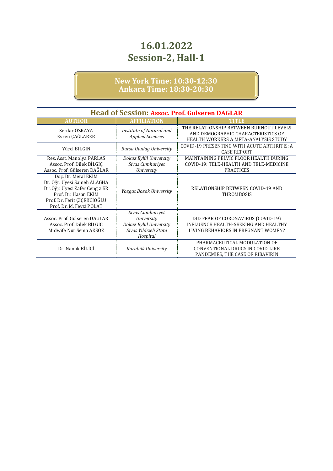| <b>Head of Session: Assoc. Prof. Gulseren DAGLAR</b>                                                                                                                    |                                                                                                      |                                                                                                                       |  |
|-------------------------------------------------------------------------------------------------------------------------------------------------------------------------|------------------------------------------------------------------------------------------------------|-----------------------------------------------------------------------------------------------------------------------|--|
| <b>AUTHOR</b>                                                                                                                                                           | <b>AFFILIATION</b>                                                                                   | TITLE                                                                                                                 |  |
| Serdar ÖZKAYA<br>Evren ÇAĞLARER                                                                                                                                         | Institute of Natural and<br><b>Applied Sciences</b>                                                  | THE RELATIONSHIP BETWEEN BURNOUT LEVELS<br>AND DEMOGRAPHIC CHARACTERISTICS OF<br>HEALTH WORKERS A META-ANALYSIS STUDY |  |
| Yücel BILGIN                                                                                                                                                            | <b>Bursa Uludag University</b>                                                                       | COVID-19 PRESENTING WITH ACUTE ARTHRITIS: A<br><b>CASE REPORT</b>                                                     |  |
| Res. Asst. Manolya PARLAS<br>Assoc. Prof. Dilek BİLGİÇ<br>Assoc. Prof. Gülseren DAĞLAR                                                                                  | Dokuz Eylül University<br>Sivas Cumhuriyet<br>University                                             | MAINTAINING PELVIC FLOOR HEALTH DURING<br>COVID-19: TELE-HEALTH AND TELE-MEDICINE<br><b>PRACTICES</b>                 |  |
| Doç. Dr. Meral EKİM<br>Dr. Öğr. Üyesi Sameh ALAGHA<br>Dr. Öğr. Üyesi Zafer Cengiz ER<br>Prof. Dr. Hasan EKİM<br>Prof. Dr. Ferit ÇİÇEKCİOĞLU<br>Prof. Dr. M. Fevzi POLAT | <b>Yozgat Bozok University</b>                                                                       | RELATIONSHIP BETWEEN COVID-19 AND<br>THROMBOSIS                                                                       |  |
| Assoc. Prof. Gulseren DAGLAR<br>Assoc. Prof. Dilek BİLGİC<br>Midwife Nur Sema AKSÖZ                                                                                     | Sivas Cumhuriyet<br><b>University</b><br>Dokuz Eylul University<br>Sivas Yıldızeli State<br>Hospital | DID FEAR OF CORONAVIRUS (COVID-19)<br>INFLUENCE HEALTH-SEEKING AND HEALTHY<br>LIVING BEHAVIORS IN PREGNANT WOMEN?     |  |
| Dr. Namik BİLİCİ                                                                                                                                                        | Karabük University                                                                                   | PHARMACEUTICAL MODULATION OF<br>CONVENTIONAL DRUGS IN COVID-LIKE<br>PANDEMIES; THE CASE OF RIBAVIRIN                  |  |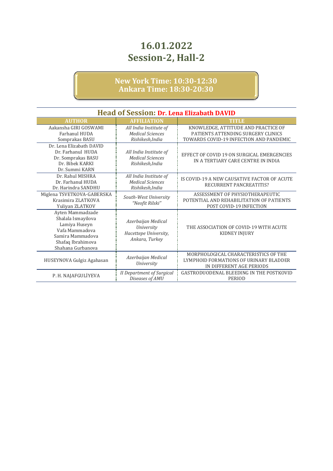| <b>Head of Session: Dr. Lena Elizabath DAVID</b>                                                                                        |                                                                                    |                                                                                                                      |
|-----------------------------------------------------------------------------------------------------------------------------------------|------------------------------------------------------------------------------------|----------------------------------------------------------------------------------------------------------------------|
| <b>AUTHOR</b>                                                                                                                           | <b>AFFILIATION</b>                                                                 | <b>TITLE</b>                                                                                                         |
| Aakansha GIRI GOSWAMI<br>Farhanul HUDA<br>Somprakas BASU                                                                                | All India Institute of<br><b>Medical Sciences</b><br>Rishikesh, India              | KNOWLEDGE, ATTITUDE AND PRACTICE OF<br>PATIENTS ATTENDING SURGERY CLINICS<br>TOWARDS COVID-19 INFECTION AND PANDEMIC |
| Dr. Lena Elizabath DAVID<br>Dr. Farhanul HUDA<br>Dr. Somprakas BASU<br>Dr. Bibek KARKI<br>Dr. Summi KARN                                | All India Institute of<br><b>Medical Sciences</b><br>Rishikesh, India              | EFFECT OF COVID 19 ON SURGICAL EMERGENCIES<br>IN A TERTIARY CARE CENTRE IN INDIA                                     |
| Dr. Rahul MISHRA<br>Dr. Farhanul HUDA<br>Dr. Harindra SANDHU                                                                            | All India Institute of<br><b>Medical Sciences</b><br>Rishikesh, India              | IS COVID-19 A NEW CAUSATIVE FACTOR OF ACUTE<br>RECURRENT PANCREATITIS?                                               |
| Miglena TSVETKOVA-GABERSKA<br>Krasimira ZLATKOVA<br>Yuliyan ZLATKOV                                                                     | South-West University<br>"Neofit Rilski"                                           | ASSESSMENT OF PHYSIOTHERAPEUTIC<br>POTENTIAL AND REHABILITATION OF PATIENTS<br>POST COVID-19 INFECTION               |
| Ayten Mammadzade<br>Shalala Ismayilova<br>Lamiya Huseyn<br>Vafa Mammadova<br>Samira Mammadova<br>Shafaq Ibrahimova<br>Shahana Gurbanova | Azerbaijan Medical<br><b>University</b><br>Hacettepe University,<br>Ankara, Turkey | THE ASSOCIATION OF COVID-19 WITH ACUTE<br><b>KIDNEY INJURY</b>                                                       |
| HUSEYNOVA Gulgiz Agahasan                                                                                                               | Azerbaijan Medical<br>University                                                   | MORPHOLOGICAL CHARACTERISTICS OF THE<br>LYMPHOID FORMATIONS OF URINARY BLADDER<br>IN DIFFERENT AGE PERIODS           |
| P. H. NAJAFGULİYEVA                                                                                                                     | <b>II Department of Surgical</b><br>Diseases of AMU                                | GASTRODUODENAL BLEEDING IN THE POSTKOVID<br><b>PERIOD</b>                                                            |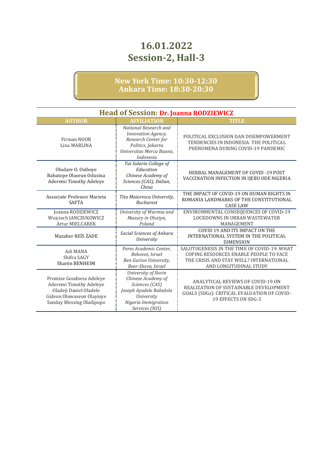| <b>Head of Session: Dr. Joanna RODZIEWICZ</b>                                                                                           |                                                                                                                                                |                                                                                                                                                            |
|-----------------------------------------------------------------------------------------------------------------------------------------|------------------------------------------------------------------------------------------------------------------------------------------------|------------------------------------------------------------------------------------------------------------------------------------------------------------|
| <b>AUTHOR</b>                                                                                                                           | <b>AFFILIATION</b>                                                                                                                             | <b>TITLE</b>                                                                                                                                               |
| Firman NOOR<br>Lina MARLINA                                                                                                             | National Research and<br>Innovation Agency,<br>Research Center for<br>Politics, Jakarta<br>Universitas Mercu Buana.<br>Indonesia               | POLITICAL EXCLUSION DAN DISEMPOWERMENT<br>TENDENCIES IN INDONESIA: THE POLITICAL<br>PHENOMENA DURING COVID-19 PANDEMIC                                     |
| Oludare O. Osiboye<br>Babatope Oluseun Odusina<br>Aderemi Timothy Adeleye                                                               | Tai Solarin College of<br>Education<br>Chinese Academy of<br>Sciences (CAS), Dalian,<br>China                                                  | <b>HERBAL MANAGEMENT OF COVID-19 POST</b><br>VACCINATION INFECTION IN IJEBU ODE NIGERIA                                                                    |
| Associate Professor Marieta<br><b>SAFTA</b>                                                                                             | Titu Maiorescu University,<br><b>Bucharest</b>                                                                                                 | THE IMPACT OF COVID-19 ON HUMAN RIGHTS IN<br>ROMANIA LANDMARKS OF THE CONSTITUTIONAL<br><b>CASE LAW</b>                                                    |
| Joanna RODZIEWICZ<br>Wojciech JANCZUKOWICZ<br>Artur MIELCAREK                                                                           | University of Warmia and<br>Mazury in Olsztyn,<br>Poland                                                                                       | ENVIRONMENTAL CONSEQUENCES OF COVID-19<br><b>LOCKDOWNS IN URBAN WASTEWATER</b><br>MANAGEMENT                                                               |
| Mazaher REİS ZADE                                                                                                                       | Social Sciences of Ankara<br>University                                                                                                        | COVID 19 AND ITS IMPACT ON THE<br>INTERNATIONAL SYSTEM IN THE POLITICAL<br><b>DIMENSION</b>                                                                |
| Adi MANA<br>Shifra SAGY<br>Sharón BENHEIM                                                                                               | Peres Academic Center,<br>Rehovot, Israel<br>Ben Gurion University,<br>Beer-Sheva, Israel                                                      | SALUTOGENESIS IN THE TIME OF COVID-19: WHAT<br>COPING RESOURCES ENABLE PEOPLE TO FACE<br>THE CRISIS AND STAY WELL? INTERNATIONAL<br>AND LONGITUDINAL STUDY |
| Promise Goodness Adeleye<br>Aderemi Timothy Adeleye<br>Oladeji Daniel Oladele<br>Gideon Oluwaseun Olayioye<br>Sunday Blessing Oladipupo | University of Ilorin<br>Chinese Academy of<br>Sciences (CAS)<br>Joseph Ayodele Babalola<br>University<br>Nigeria Immigration<br>Services (NIS) | <b>ANALYTICAL REVIEWS OF COVID-19 ON</b><br>REALIZATION OF SUSTAINABLE DEVELOPMENT<br>GOALS (SDGs): CRITICAL EVALUATION OF COVID-<br>19 EFFECTS ON SDG-3   |